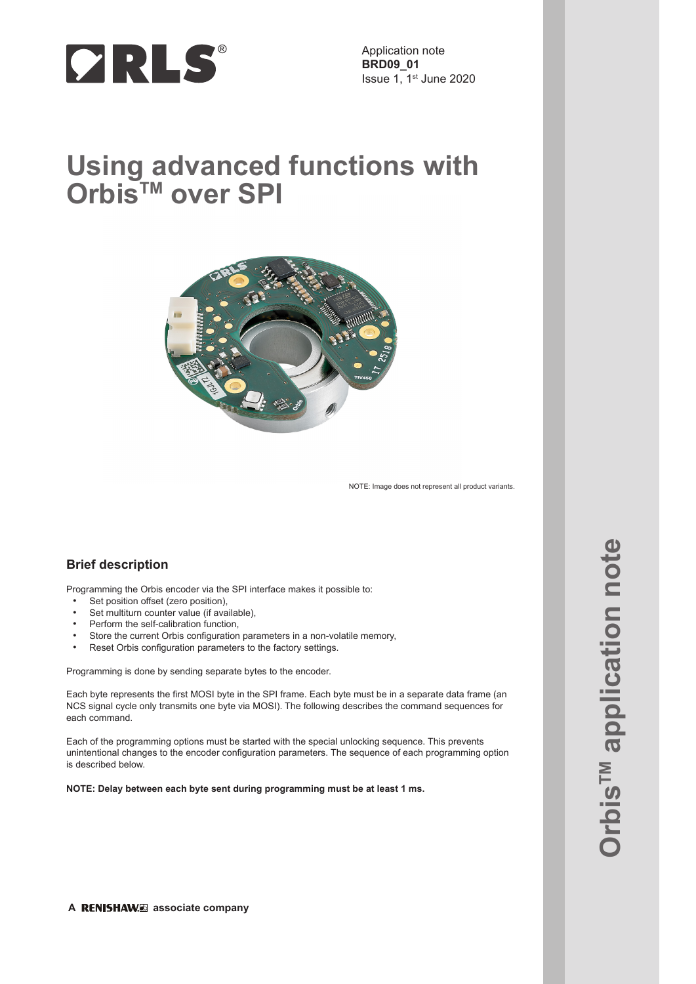

Application note **BRD09\_01** Issue 1, 1st June 2020

# **Using advanced functions with OrbisTM over SPI**



NOTE: Image does not represent all product variants.

## **Brief description**

Programming the Orbis encoder via the SPI interface makes it possible to:

- Set position offset (zero position),
- Set multiturn counter value (if available),
- Perform the self-calibration function,
- Store the current Orbis configuration parameters in a non-volatile memory,
- Reset Orbis configuration parameters to the factory settings.

Programming is done by sending separate bytes to the encoder.

Each byte represents the first MOSI byte in the SPI frame. Each byte must be in a separate data frame (an NCS signal cycle only transmits one byte via MOSI). The following describes the command sequences for each command.

Each of the programming options must be started with the special unlocking sequence. This prevents unintentional changes to the encoder configuration parameters. The sequence of each programming option is described below.

**NOTE: Delay between each byte sent during programming must be at least 1 ms.**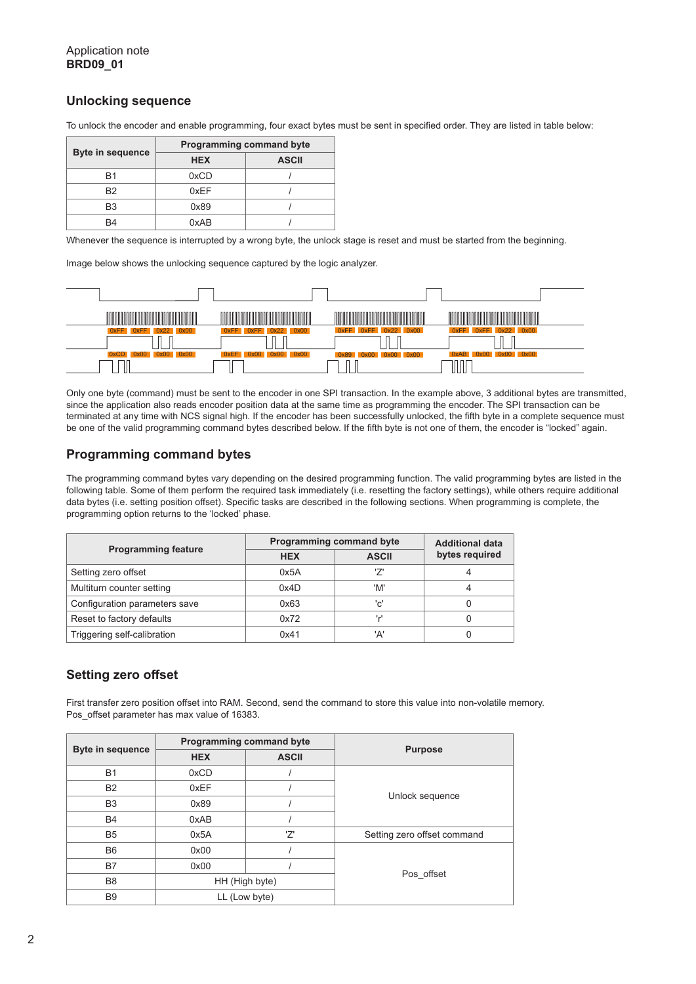## **Unlocking sequence**

To unlock the encoder and enable programming, four exact bytes must be sent in specified order. They are listed in table below:

| <b>Byte in sequence</b> | <b>Programming command byte</b> |              |  |
|-------------------------|---------------------------------|--------------|--|
|                         | <b>HEX</b>                      | <b>ASCII</b> |  |
| B <sub>1</sub>          | 0xCD                            |              |  |
| B <sub>2</sub>          | 0xFF                            |              |  |
| B <sub>3</sub>          | 0x89                            |              |  |
| B4                      | 0xAB                            |              |  |

Whenever the sequence is interrupted by a wrong byte, the unlock stage is reset and must be started from the beginning.

Image below shows the unlocking sequence captured by the logic analyzer.



Only one byte (command) must be sent to the encoder in one SPI transaction. In the example above, 3 additional bytes are transmitted, since the application also reads encoder position data at the same time as programming the encoder. The SPI transaction can be terminated at any time with NCS signal high. If the encoder has been successfully unlocked, the fifth byte in a complete sequence must be one of the valid programming command bytes described below. If the fifth byte is not one of them, the encoder is "locked" again.

## **Programming command bytes**

The programming command bytes vary depending on the desired programming function. The valid programming bytes are listed in the following table. Some of them perform the required task immediately (i.e. resetting the factory settings), while others require additional data bytes (i.e. setting position offset). Specific tasks are described in the following sections. When programming is complete, the programming option returns to the 'locked' phase.

|                               | Programming command byte | <b>Additional data</b> |                |  |
|-------------------------------|--------------------------|------------------------|----------------|--|
| <b>Programming feature</b>    | <b>HEX</b>               | <b>ASCII</b>           | bytes required |  |
| Setting zero offset           | 0x5A                     | ילי                    |                |  |
| Multiturn counter setting     | 0x4D                     | 'M'                    |                |  |
| Configuration parameters save | 0x63                     | 'c'                    |                |  |
| Reset to factory defaults     | 0x72                     | ا مو ا                 |                |  |
| Triggering self-calibration   | 0x41                     | 'A'                    |                |  |

# **Setting zero offset**

First transfer zero position offset into RAM. Second, send the command to store this value into non-volatile memory. Pos\_offset parameter has max value of 16383.

|                         | Programming command byte |               |                             |
|-------------------------|--------------------------|---------------|-----------------------------|
| <b>Byte in sequence</b> | <b>HEX</b>               | <b>ASCII</b>  | <b>Purpose</b>              |
| <b>B1</b>               | 0xCD                     |               |                             |
| <b>B2</b>               | 0xEF                     |               |                             |
| B <sub>3</sub>          | 0x89                     |               | Unlock sequence             |
| <b>B4</b>               | 0xAB                     |               |                             |
| B <sub>5</sub>          | 0x5A                     | 'Z'           | Setting zero offset command |
| B <sub>6</sub>          | 0x00                     |               |                             |
| B7                      | 0x00                     |               |                             |
| B <sub>8</sub>          | HH (High byte)           |               | Pos offset                  |
| <b>B</b> 9              |                          | LL (Low byte) |                             |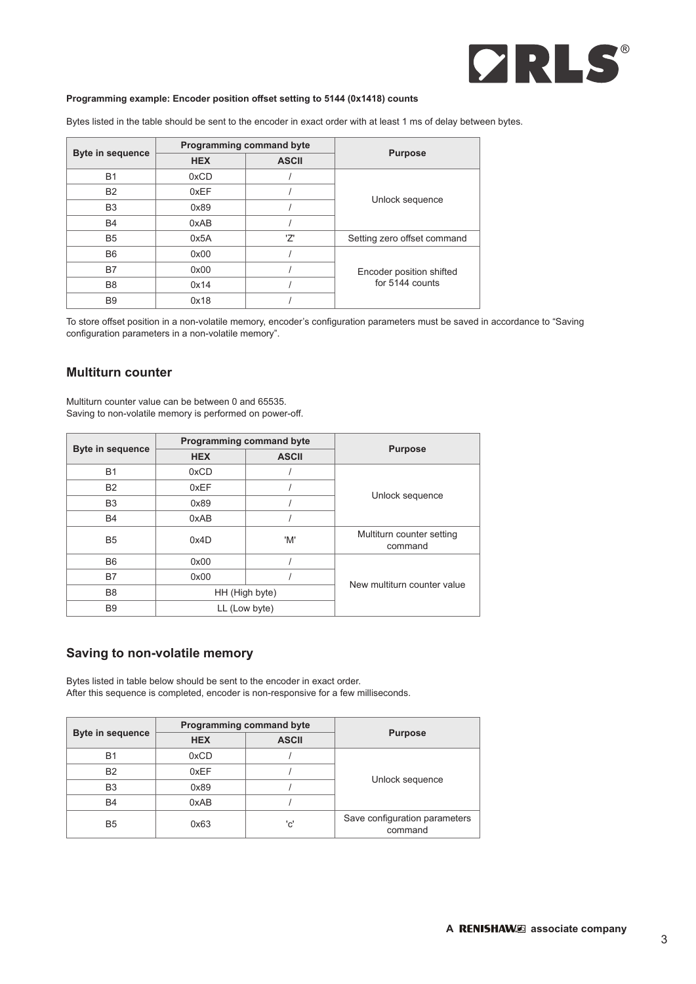

#### **Programming example: Encoder position offset setting to 5144 (0x1418) counts**

Bytes listed in the table should be sent to the encoder in exact order with at least 1 ms of delay between bytes.

|                         | Programming command byte |              |                                             |
|-------------------------|--------------------------|--------------|---------------------------------------------|
| <b>Byte in sequence</b> | <b>HEX</b>               | <b>ASCII</b> | <b>Purpose</b>                              |
| <b>B1</b>               | 0xCD                     |              |                                             |
| <b>B2</b>               | 0xEF                     |              | Unlock sequence                             |
| B <sub>3</sub>          | 0x89                     |              |                                             |
| <b>B4</b>               | 0xAB                     |              |                                             |
| B <sub>5</sub>          | 0x5A                     | '7'          | Setting zero offset command                 |
| B <sub>6</sub>          | 0x00                     |              |                                             |
| B7                      | 0x00                     |              | Encoder position shifted<br>for 5144 counts |
| B <sub>8</sub>          | 0x14                     |              |                                             |
| B <sub>9</sub>          | 0x18                     |              |                                             |

To store offset position in a non-volatile memory, encoder's configuration parameters must be saved in accordance to "Saving configuration parameters in a non-volatile memory".

## **Multiturn counter**

Multiturn counter value can be between 0 and 65535. Saving to non-volatile memory is performed on power-off.

|                         | Programming command byte |               | <b>Purpose</b>                       |
|-------------------------|--------------------------|---------------|--------------------------------------|
| <b>Byte in sequence</b> | <b>HEX</b>               | <b>ASCII</b>  |                                      |
| <b>B1</b>               | 0xCD                     |               |                                      |
| <b>B2</b>               | 0xEF                     |               |                                      |
| B <sub>3</sub>          | 0x89                     |               | Unlock sequence                      |
| B4                      | 0xAB                     |               |                                      |
| B <sub>5</sub>          | 0x4D                     | 'M'           | Multiturn counter setting<br>command |
| B <sub>6</sub>          | 0x00                     |               |                                      |
| B7                      | 0x00                     |               | New multiturn counter value          |
| B <sub>8</sub>          | HH (High byte)           |               |                                      |
| B <sub>9</sub>          |                          | LL (Low byte) |                                      |

## **Saving to non-volatile memory**

Bytes listed in table below should be sent to the encoder in exact order. After this sequence is completed, encoder is non-responsive for a few milliseconds.

| <b>Byte in sequence</b> | <b>Programming command byte</b> |              |                                          |
|-------------------------|---------------------------------|--------------|------------------------------------------|
|                         | <b>HEX</b>                      | <b>ASCII</b> | <b>Purpose</b>                           |
| <b>B1</b>               | 0xCD                            |              |                                          |
| <b>B2</b>               | 0xEF                            |              | Unlock sequence                          |
| B <sub>3</sub>          | 0x89                            |              |                                          |
| <b>B4</b>               | 0xAB                            |              |                                          |
| B <sub>5</sub>          | 0x63                            | 'c'          | Save configuration parameters<br>command |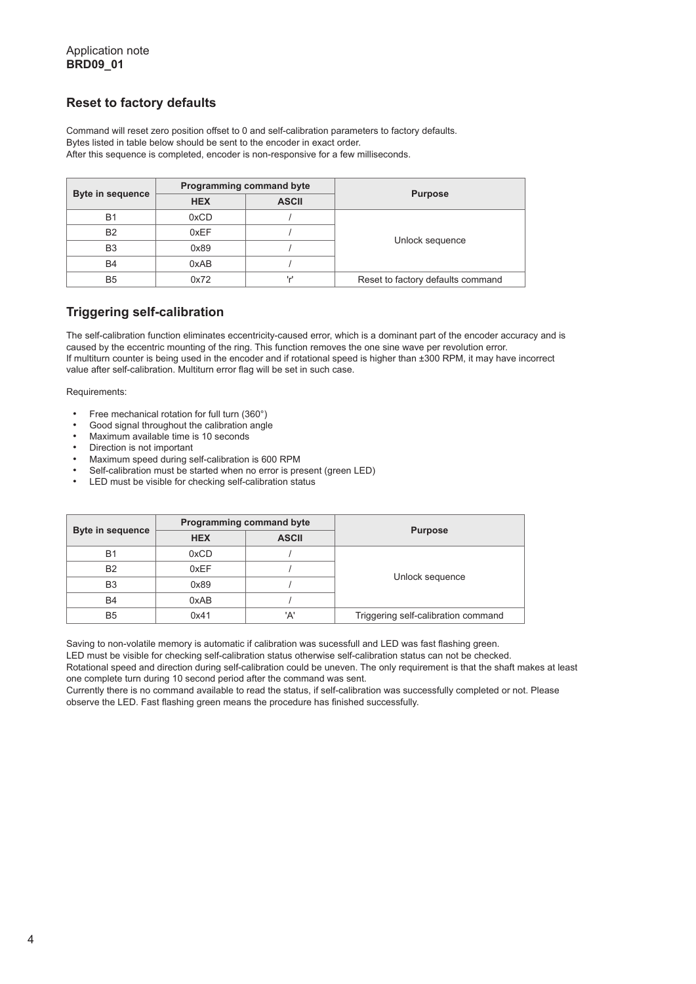## **Reset to factory defaults**

Command will reset zero position offset to 0 and self-calibration parameters to factory defaults. Bytes listed in table below should be sent to the encoder in exact order. After this sequence is completed, encoder is non-responsive for a few milliseconds.

|                         | Programming command byte |              |                                   |
|-------------------------|--------------------------|--------------|-----------------------------------|
| <b>Byte in sequence</b> | <b>HEX</b>               | <b>ASCII</b> | <b>Purpose</b>                    |
| <b>B1</b>               | 0xCD                     |              |                                   |
| <b>B2</b>               | 0xEF                     |              | Unlock sequence                   |
| B <sub>3</sub>          | 0x89                     |              |                                   |
| B <sub>4</sub>          | 0xAB                     |              |                                   |
| B5                      | 0x72                     | اس ا         | Reset to factory defaults command |

# **Triggering self-calibration**

The self-calibration function eliminates eccentricity-caused error, which is a dominant part of the encoder accuracy and is caused by the eccentric mounting of the ring. This function removes the one sine wave per revolution error. If multiturn counter is being used in the encoder and if rotational speed is higher than ±300 RPM, it may have incorrect value after self-calibration. Multiturn error flag will be set in such case.

Requirements:

- Free mechanical rotation for full turn (360°)
- Good signal throughout the calibration angle
- Maximum available time is 10 seconds
- Direction is not important
- Maximum speed during self-calibration is 600 RPM
- Self-calibration must be started when no error is present (green LED)
- LED must be visible for checking self-calibration status

| <b>Byte in sequence</b> | Programming command byte |              |                                     |
|-------------------------|--------------------------|--------------|-------------------------------------|
|                         | <b>HEX</b>               | <b>ASCII</b> | <b>Purpose</b>                      |
| <b>B1</b>               | 0xCD                     |              |                                     |
| <b>B2</b>               | 0xEF                     |              | Unlock sequence                     |
| B <sub>3</sub>          | 0x89                     |              |                                     |
| <b>B4</b>               | 0xAB                     |              |                                     |
| B <sub>5</sub>          | 0x41                     | 'A'          | Triggering self-calibration command |

Saving to non-volatile memory is automatic if calibration was sucessfull and LED was fast flashing green. LED must be visible for checking self-calibration status otherwise self-calibration status can not be checked. Rotational speed and direction during self-calibration could be uneven. The only requirement is that the shaft makes at least one complete turn during 10 second period after the command was sent.

Currently there is no command available to read the status, if self-calibration was successfully completed or not. Please observe the LED. Fast flashing green means the procedure has finished successfully.